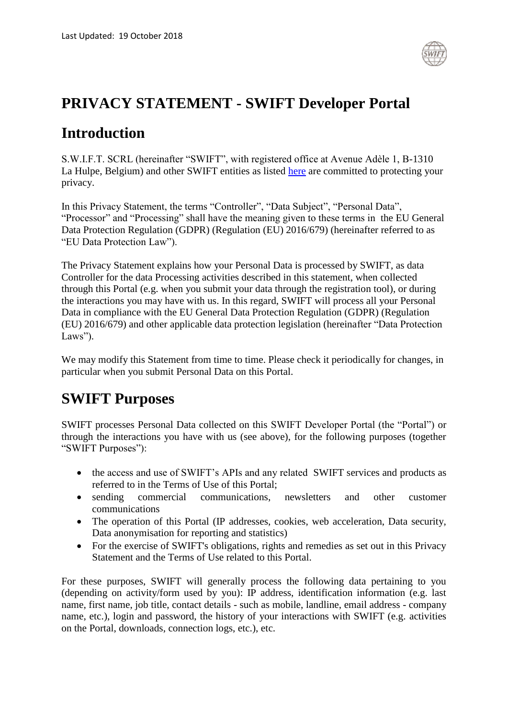

### **PRIVACY STATEMENT - SWIFT Developer Portal**

### **Introduction**

S.W.I.F.T. SCRL (hereinafter "SWIFT", with registered office at Avenue Adèle 1, B-1310 La Hulpe, Belgium) and other SWIFT entities as listed [here](https://www.swift.com/contact-us) are committed to protecting your privacy.

In this Privacy Statement, the terms "Controller", "Data Subject", "Personal Data", "Processor" and "Processing" shall have the meaning given to these terms in the EU General Data Protection Regulation (GDPR) (Regulation (EU) 2016/679) (hereinafter referred to as "EU Data Protection Law").

The Privacy Statement explains how your Personal Data is processed by SWIFT, as data Controller for the data Processing activities described in this statement, when collected through this Portal (e.g. when you submit your data through the registration tool), or during the interactions you may have with us. In this regard, SWIFT will process all your Personal Data in compliance with the EU General Data Protection Regulation (GDPR) (Regulation (EU) 2016/679) and other applicable data protection legislation (hereinafter "Data Protection Laws").

We may modify this Statement from time to time. Please check it periodically for changes, in particular when you submit Personal Data on this Portal.

### **SWIFT Purposes**

SWIFT processes Personal Data collected on this SWIFT Developer Portal (the "Portal") or through the interactions you have with us (see above), for the following purposes (together "SWIFT Purposes"):

- the access and use of SWIFT's APIs and any related SWIFT services and products as referred to in the Terms of Use of this Portal;
- sending commercial communications, newsletters and other customer communications
- The operation of this Portal (IP addresses, cookies, web acceleration, Data security, Data anonymisation for reporting and statistics)
- For the exercise of SWIFT's obligations, rights and remedies as set out in this Privacy Statement and the Terms of Use related to this Portal.

For these purposes, SWIFT will generally process the following data pertaining to you (depending on activity/form used by you): IP address, identification information (e.g. last name, first name, job title, contact details - such as mobile, landline, email address - company name, etc.), login and password, the history of your interactions with SWIFT (e.g. activities on the Portal, downloads, connection logs, etc.), etc.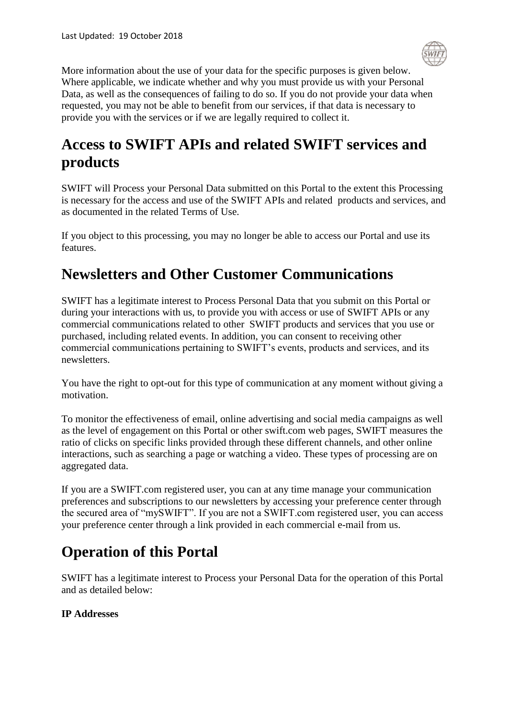

More information about the use of your data for the specific purposes is given below. Where applicable, we indicate whether and why you must provide us with your Personal Data, as well as the consequences of failing to do so. If you do not provide your data when requested, you may not be able to benefit from our services, if that data is necessary to provide you with the services or if we are legally required to collect it.

# **Access to SWIFT APIs and related SWIFT services and products**

SWIFT will Process your Personal Data submitted on this Portal to the extent this Processing is necessary for the access and use of the SWIFT APIs and related products and services, and as documented in the related Terms of Use.

If you object to this processing, you may no longer be able to access our Portal and use its features.

### **Newsletters and Other Customer Communications**

SWIFT has a legitimate interest to Process Personal Data that you submit on this Portal or during your interactions with us, to provide you with access or use of SWIFT APIs or any commercial communications related to other SWIFT products and services that you use or purchased, including related events. In addition, you can consent to receiving other commercial communications pertaining to SWIFT's events, products and services, and its newsletters.

You have the right to opt-out for this type of communication at any moment without giving a motivation.

To monitor the effectiveness of email, online advertising and social media campaigns as well as the level of engagement on this Portal or other swift.com web pages, SWIFT measures the ratio of clicks on specific links provided through these different channels, and other online interactions, such as searching a page or watching a video. These types of processing are on aggregated data.

If you are a SWIFT.com registered user, you can at any time manage your communication preferences and subscriptions to our newsletters by accessing your preference center through the secured area of "mySWIFT". If you are not a SWIFT.com registered user, you can access your preference center through a link provided in each commercial e-mail from us.

# **Operation of this Portal**

SWIFT has a legitimate interest to Process your Personal Data for the operation of this Portal and as detailed below:

### **IP Addresses**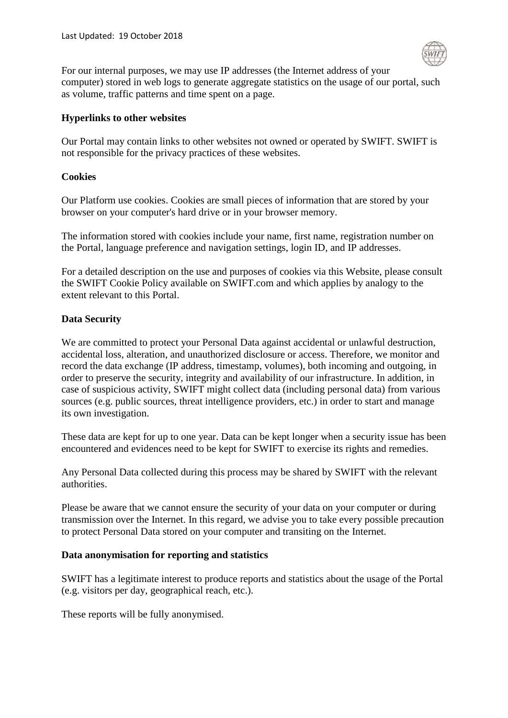

For our internal purposes, we may use IP addresses (the Internet address of your computer) stored in web logs to generate aggregate statistics on the usage of our portal, such as volume, traffic patterns and time spent on a page.

#### **Hyperlinks to other websites**

Our Portal may contain links to other websites not owned or operated by SWIFT. SWIFT is not responsible for the privacy practices of these websites.

#### **Cookies**

Our Platform use cookies. Cookies are small pieces of information that are stored by your browser on your computer's hard drive or in your browser memory.

The information stored with cookies include your name, first name, registration number on the Portal, language preference and navigation settings, login ID, and IP addresses.

For a detailed description on the use and purposes of cookies via this Website, please consult the SWIFT Cookie Policy available on SWIFT.com and which applies by analogy to the extent relevant to this Portal.

#### **Data Security**

We are committed to protect your Personal Data against accidental or unlawful destruction, accidental loss, alteration, and unauthorized disclosure or access. Therefore, we monitor and record the data exchange (IP address, timestamp, volumes), both incoming and outgoing, in order to preserve the security, integrity and availability of our infrastructure. In addition, in case of suspicious activity, SWIFT might collect data (including personal data) from various sources (e.g. public sources, threat intelligence providers, etc.) in order to start and manage its own investigation.

These data are kept for up to one year. Data can be kept longer when a security issue has been encountered and evidences need to be kept for SWIFT to exercise its rights and remedies.

Any Personal Data collected during this process may be shared by SWIFT with the relevant authorities.

Please be aware that we cannot ensure the security of your data on your computer or during transmission over the Internet. In this regard, we advise you to take every possible precaution to protect Personal Data stored on your computer and transiting on the Internet.

#### **Data anonymisation for reporting and statistics**

SWIFT has a legitimate interest to produce reports and statistics about the usage of the Portal (e.g. visitors per day, geographical reach, etc.).

These reports will be fully anonymised.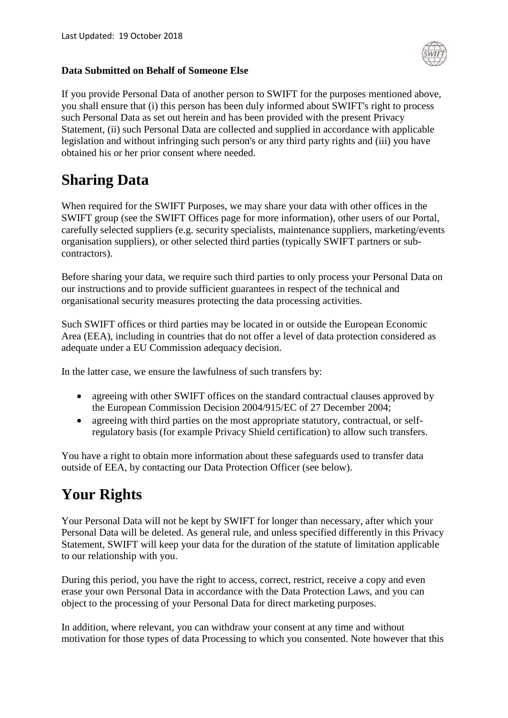

If you provide Personal Data of another person to SWIFT for the purposes mentioned above, you shall ensure that (i) this person has been duly informed about SWIFT's right to process such Personal Data as set out herein and has been provided with the present Privacy Statement, (ii) such Personal Data are collected and supplied in accordance with applicable legislation and without infringing such person's or any third party rights and (iii) you have obtained his or her prior consent where needed.

# **Sharing Data**

When required for the SWIFT Purposes, we may share your data with other offices in the SWIFT group (see the SWIFT Offices page for more information), other users of our Portal, carefully selected suppliers (e.g. security specialists, maintenance suppliers, marketing/events organisation suppliers), or other selected third parties (typically SWIFT partners or subcontractors).

Before sharing your data, we require such third parties to only process your Personal Data on our instructions and to provide sufficient guarantees in respect of the technical and organisational security measures protecting the data processing activities.

Such SWIFT offices or third parties may be located in or outside the European Economic Area (EEA), including in countries that do not offer a level of data protection considered as adequate under a EU Commission adequacy decision.

In the latter case, we ensure the lawfulness of such transfers by:

- agreeing with other SWIFT offices on the standard contractual clauses approved by the European Commission Decision 2004/915/EC of 27 December 2004;
- agreeing with third parties on the most appropriate statutory, contractual, or selfregulatory basis (for example Privacy Shield certification) to allow such transfers.

You have a right to obtain more information about these safeguards used to transfer data outside of EEA, by contacting our Data Protection Officer (see below).

# **Your Rights**

Your Personal Data will not be kept by SWIFT for longer than necessary, after which your Personal Data will be deleted. As general rule, and unless specified differently in this Privacy Statement, SWIFT will keep your data for the duration of the statute of limitation applicable to our relationship with you.

During this period, you have the right to access, correct, restrict, receive a copy and even erase your own Personal Data in accordance with the Data Protection Laws, and you can object to the processing of your Personal Data for direct marketing purposes.

In addition, where relevant, you can withdraw your consent at any time and without motivation for those types of data Processing to which you consented. Note however that this